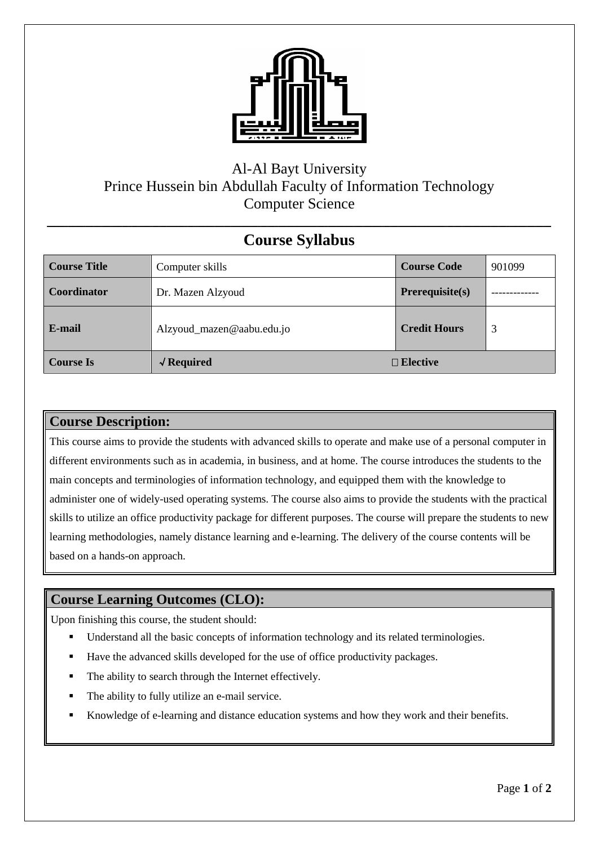

## Al-Al Bayt University Prince Hussein bin Abdullah Faculty of Information Technology Computer Science

## **ــــــــــــــــــــــــــــــــــــــــــــــــــــــــــــــــــــــــــــــــــــــــــــــــــــــــــــــــــــــــــــــــــــــــــــــــــــــــــــــــــــــــــــــــــــــــــــــــــــــــــــــــــــــــــــــــــــــــــــــــــــــــــــــــــــــــــــــــــــــــــــــــــــــــــــــــــــــــــــ Course Syllabus**

| <b>Course Title</b> | Computer skills           | <b>Course Code</b>  | 901099 |
|---------------------|---------------------------|---------------------|--------|
| <b>Coordinator</b>  | Dr. Mazen Alzyoud         | $Prerequisite(s)$   |        |
| E-mail              | Alzyoud_mazen@aabu.edu.jo | <b>Credit Hours</b> | 3      |
| <b>Course Is</b>    | $\sqrt{$ Required         | $\Box$ Elective     |        |

## **Course Description:**

This course aims to provide the students with advanced skills to operate and make use of a personal computer in different environments such as in academia, in business, and at home. The course introduces the students to the main concepts and terminologies of information technology, and equipped them with the knowledge to administer one of widely-used operating systems. The course also aims to provide the students with the practical skills to utilize an office productivity package for different purposes. The course will prepare the students to new learning methodologies, namely distance learning and e-learning. The delivery of the course contents will be based on a hands-on approach.

## **Course Learning Outcomes (CLO):**

Upon finishing this course, the student should:

- Understand all the basic concepts of information technology and its related terminologies.
- Have the advanced skills developed for the use of office productivity packages.
- The ability to search through the Internet effectively.
- The ability to fully utilize an e-mail service.
- Knowledge of e-learning and distance education systems and how they work and their benefits.